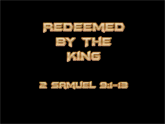

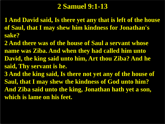# **2 Samuel 9:1-13**

- **1 And David said, Is there yet any that is left of the house of Saul, that I may shew him kindness for Jonathan's sake?**
- **2 And there was of the house of Saul a servant whose name was Ziba. And when they had called him unto David, the king said unto him, Art thou Ziba? And he said, Thy servant is he.**
- **3 And the king said, Is there not yet any of the house of Saul, that I may shew the kindness of God unto him? And Ziba said unto the king, Jonathan hath yet a son, which is lame on his feet.**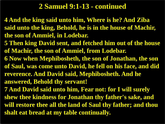# **2 Samuel 9:1-13 - continued**

**4 And the king said unto him, Where is he? And Ziba said unto the king, Behold, he is in the house of Machir, the son of Ammiel, in Lodebar.**

**5 Then king David sent, and fetched him out of the house of Machir, the son of Ammiel, from Lodebar.**

**6 Now when Mephibosheth, the son of Jonathan, the son of Saul, was come unto David, he fell on his face, and did reverence. And David said, Mephibosheth. And he answered, Behold thy servant!**

**7 And David said unto him, Fear not: for I will surely shew thee kindness for Jonathan thy father's sake, and will restore thee all the land of Saul thy father; and thou shalt eat bread at my table continually.**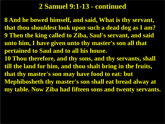# **2 Samuel 9:1-13 - continued**

**8 And he bowed himself, and said, What is thy servant, that thou shouldest look upon such a dead dog as I am? 9 Then the king called to Ziba, Saul's servant, and said unto him, I have given unto thy master's son all that pertained to Saul and to all his house. 10 Thou therefore, and thy sons, and thy servants, shall till the land for him, and thou shalt bring in the fruits, that thy master's son may have food to eat: but Mephibosheth thy master's son shall eat bread alway at my table. Now Ziba had fifteen sons and twenty servants.**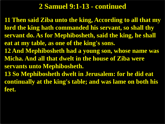# **2 Samuel 9:1-13 - continued**

**11 Then said Ziba unto the king, According to all that my lord the king hath commanded his servant, so shall thy servant do. As for Mephibosheth, said the king, he shall eat at my table, as one of the king's sons. 12 And Mephibosheth had a young son, whose name was Micha. And all that dwelt in the house of Ziba were servants unto Mephibosheth. 13 So Mephibosheth dwelt in Jerusalem: for he did eat continually at the king's table; and was lame on both his feet.**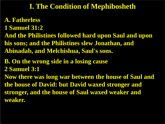# **I. The Condition of Mephibosheth**

- **A. Fatherless**
- **1 Samuel 31:2**
- **And the Philistines followed hard upon Saul and upon his sons; and the Philistines slew Jonathan, and Abinadab, and Melchishua, Saul's sons.**
- **B. On the wrong side in a losing cause**
- **2 Samuel 3:1**
- **Now there was long war between the house of Saul and the house of David: but David waxed stronger and stronger, and the house of Saul waxed weaker and weaker.**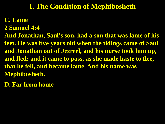# **I. The Condition of Mephibosheth**

#### **C. Lame**

**2 Samuel 4:4**

**And Jonathan, Saul's son, had a son that was lame of his feet. He was five years old when the tidings came of Saul and Jonathan out of Jezreel, and his nurse took him up, and fled: and it came to pass, as she made haste to flee, that he fell, and became lame. And his name was Mephibosheth.**

**D. Far from home**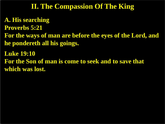**A. His searching Proverbs 5:21 For the ways of man are before the eyes of the Lord, and he pondereth all his goings. Luke 19:10 For the Son of man is come to seek and to save that which was lost.**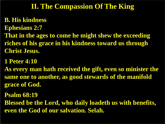**B. His kindness Ephesians 2:7 That in the ages to come he might shew the exceeding riches of his grace in his kindness toward us through Christ Jesus.**

**1 Peter 4:10**

**As every man hath received the gift, even so minister the same one to another, as good stewards of the manifold grace of God.**

**Psalm 68:19**

**Blessed be the Lord, who daily loadeth us with benefits, even the God of our salvation. Selah.**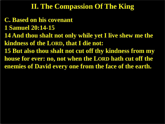- **C. Based on his covenant**
- **1 Samuel 20:14-15**
- **14 And thou shalt not only while yet I live shew me the kindness of the LORD, that I die not:**
- **15 But also thou shalt not cut off thy kindness from my house for ever: no, not when the LORD hath cut off the enemies of David every one from the face of the earth.**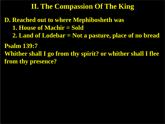**D. Reached out to where Mephibosheth was 1. House of Machir = Sold 2. Land of Lodebar = Not a pasture, place of no bread Psalm 139:7 Whither shall I go from thy spirit? or whither shall I flee from thy presence?**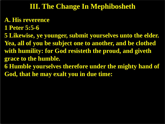### **III. The Change In Mephibosheth**

#### **A. His reverence**

- **1 Peter 5:5-6**
- **5 Likewise, ye younger, submit yourselves unto the elder. Yea, all of you be subject one to another, and be clothed with humility: for God resisteth the proud, and giveth grace to the humble.**
- **6 Humble yourselves therefore under the mighty hand of God, that he may exalt you in due time:**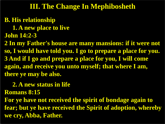### **III. The Change In Mephibosheth**

# **B. His relationship**

- **1. A new place to live**
- **John 14:2-3**

**2 In my Father's house are many mansions: if it were not so, I would have told you. I go to prepare a place for you. 3 And if I go and prepare a place for you, I will come again, and receive you unto myself; that where I am, there ye may be also.**

# **2. A new status in life**

#### **Romans 8:15**

**For ye have not received the spirit of bondage again to fear; but ye have received the Spirit of adoption, whereby we cry, Abba, Father.**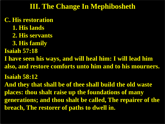### **III. The Change In Mephibosheth**

**C. His restoration**

- **1. His lands**
- **2. His servants**
- **3. His family**
- **Isaiah 57:18**
- **I have seen his ways, and will heal him: I will lead him also, and restore comforts unto him and to his mourners.**

**Isaiah 58:12**

**And they that shall be of thee shall build the old waste places: thou shalt raise up the foundations of many generations; and thou shalt be called, The repairer of the breach, The restorer of paths to dwell in.**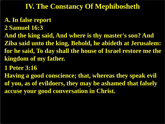### **A. In false report**

- **2 Samuel 16:3**
- **And the king said, And where is thy master's son? And Ziba said unto the king, Behold, he abideth at Jerusalem: for he said, To day shall the house of Israel restore me the kingdom of my father.**
- **1 Peter 3:16**
- **Having a good conscience; that, whereas they speak evil of you, as of evildoers, they may be ashamed that falsely accuse your good conversation in Christ.**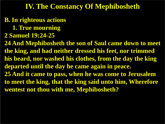# **B. In righteous actions**

- **1. True mourning**
- **2 Samuel 19:24-25**

**24 And Mephibosheth the son of Saul came down to meet the king, and had neither dressed his feet, nor trimmed his beard, nor washed his clothes, from the day the king departed until the day he came again in peace. 25 And it came to pass, when he was come to Jerusalem to meet the king, that the king said unto him, Wherefore wentest not thou with me, Mephibosheth?**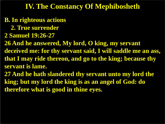- **B. In righteous actions**
	- **2. True surrender**
- **2 Samuel 19:26-27**
- **26 And he answered, My lord, O king, my servant**
- **deceived me: for thy servant said, I will saddle me an ass, that I may ride thereon, and go to the king; because thy servant is lame.**
- **27 And he hath slandered thy servant unto my lord the king; but my lord the king is as an angel of God: do therefore what is good in thine eyes.**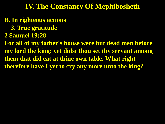**B. In righteous actions**

- **3. True gratitude**
- **2 Samuel 19:28**

**For all of my father's house were but dead men before my lord the king: yet didst thou set thy servant among them that did eat at thine own table. What right therefore have I yet to cry any more unto the king?**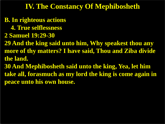- **B. In righteous actions**
	- **4. True selflessness**
- **2 Samuel 19:29-30**
- **29 And the king said unto him, Why speakest thou any more of thy matters? I have said, Thou and Ziba divide the land.**
- **30 And Mephibosheth said unto the king, Yea, let him take all, forasmuch as my lord the king is come again in peace unto his own house.**